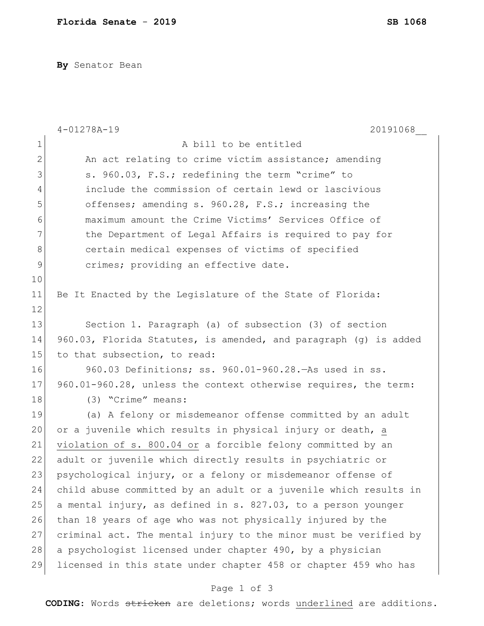**By** Senator Bean

|              | $4 - 01278A - 19$<br>20191068                                    |
|--------------|------------------------------------------------------------------|
| $\mathbf 1$  | A bill to be entitled                                            |
| $\mathbf{2}$ | An act relating to crime victim assistance; amending             |
| 3            | s. 960.03, F.S.; redefining the term "crime" to                  |
| 4            | include the commission of certain lewd or lascivious             |
| 5            | offenses; amending s. 960.28, F.S.; increasing the               |
| 6            | maximum amount the Crime Victims' Services Office of             |
| 7            | the Department of Legal Affairs is required to pay for           |
| 8            | certain medical expenses of victims of specified                 |
| 9            | crimes; providing an effective date.                             |
| 10           |                                                                  |
| 11           | Be It Enacted by the Legislature of the State of Florida:        |
| 12           |                                                                  |
| 13           | Section 1. Paragraph (a) of subsection (3) of section            |
| 14           | 960.03, Florida Statutes, is amended, and paragraph (g) is added |
| 15           | to that subsection, to read:                                     |
| 16           | 960.03 Definitions; ss. 960.01-960.28. As used in ss.            |
| 17           | 960.01-960.28, unless the context otherwise requires, the term:  |
| 18           | (3) "Crime" means:                                               |
| 19           | (a) A felony or misdemeanor offense committed by an adult        |
| 20           | or a juvenile which results in physical injury or death, a       |
| 21           | violation of s. 800.04 or a forcible felony committed by an      |
| 22           | adult or juvenile which directly results in psychiatric or       |
| 23           | psychological injury, or a felony or misdemeanor offense of      |
| 24           | child abuse committed by an adult or a juvenile which results in |
| 25           | a mental injury, as defined in s. 827.03, to a person younger    |
| 26           | than 18 years of age who was not physically injured by the       |
| 27           | criminal act. The mental injury to the minor must be verified by |
| 28           | a psychologist licensed under chapter 490, by a physician        |
| 29           | licensed in this state under chapter 458 or chapter 459 who has  |
|              | Page 1 of 3                                                      |

**CODING**: Words stricken are deletions; words underlined are additions.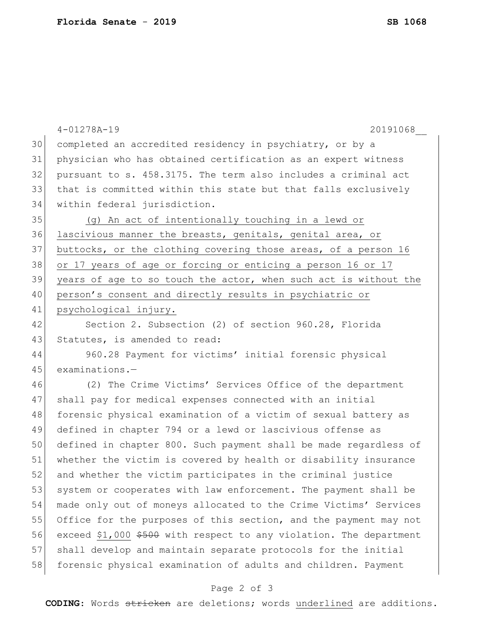|    | $4 - 01278A - 19$<br>20191068                                      |
|----|--------------------------------------------------------------------|
| 30 | completed an accredited residency in psychiatry, or by a           |
| 31 | physician who has obtained certification as an expert witness      |
| 32 | pursuant to s. 458.3175. The term also includes a criminal act     |
| 33 | that is committed within this state but that falls exclusively     |
| 34 | within federal jurisdiction.                                       |
| 35 | (g) An act of intentionally touching in a lewd or                  |
| 36 | lascivious manner the breasts, genitals, genital area, or          |
| 37 | buttocks, or the clothing covering those areas, of a person 16     |
| 38 | or 17 years of age or forcing or enticing a person 16 or 17        |
| 39 | years of age to so touch the actor, when such act is without the   |
| 40 | person's consent and directly results in psychiatric or            |
| 41 | psychological injury.                                              |
| 42 | Section 2. Subsection (2) of section 960.28, Florida               |
| 43 | Statutes, is amended to read:                                      |
| 44 | 960.28 Payment for victims' initial forensic physical              |
| 45 | $examinations.$ -                                                  |
| 46 | (2) The Crime Victims' Services Office of the department           |
| 47 | shall pay for medical expenses connected with an initial           |
| 48 | forensic physical examination of a victim of sexual battery as     |
| 49 | defined in chapter 794 or a lewd or lascivious offense as          |
| 50 | defined in chapter 800. Such payment shall be made regardless of   |
| 51 | whether the victim is covered by health or disability insurance    |
| 52 | and whether the victim participates in the criminal justice        |
| 53 | system or cooperates with law enforcement. The payment shall be    |
| 54 | made only out of moneys allocated to the Crime Victims' Services   |
| 55 | Office for the purposes of this section, and the payment may not   |
| 56 | exceed \$1,000 \$500 with respect to any violation. The department |
| 57 | shall develop and maintain separate protocols for the initial      |
| 58 | forensic physical examination of adults and children. Payment      |

## Page 2 of 3

**CODING**: Words stricken are deletions; words underlined are additions.